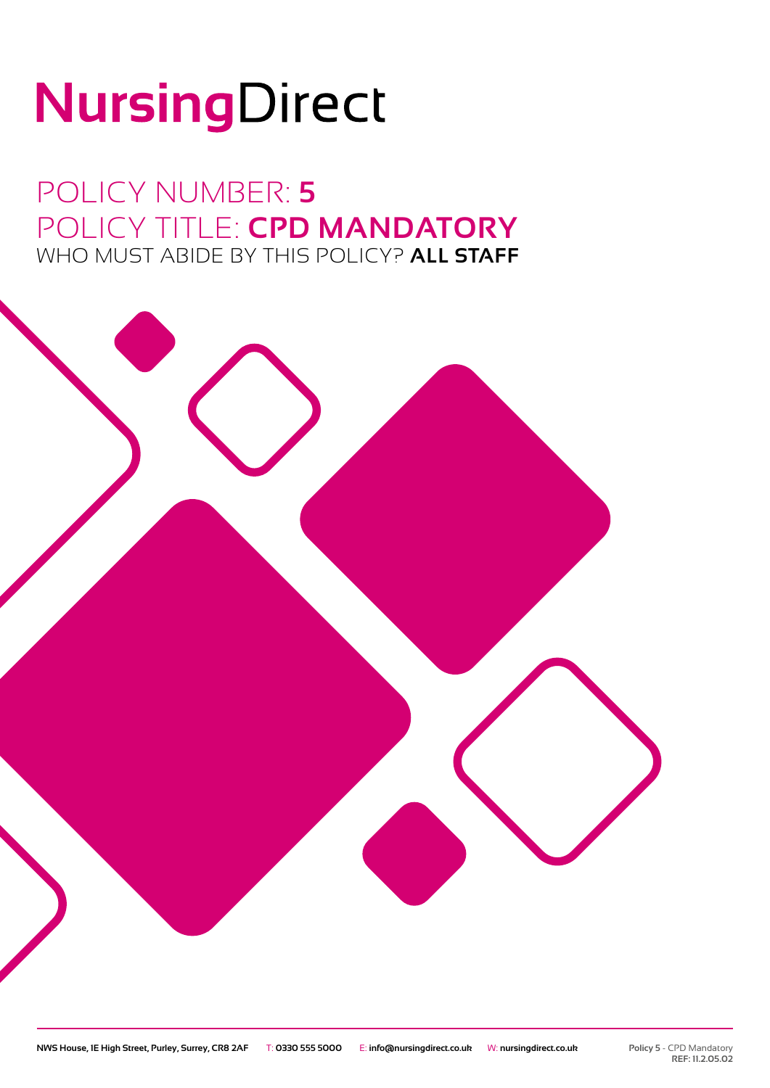# NursingDirect

POLICY NUMBER: **5** POLICY TITLE: **CPD MANDATORY** WHO MUST ABIDE BY THIS POLICY? **ALL STAFF**

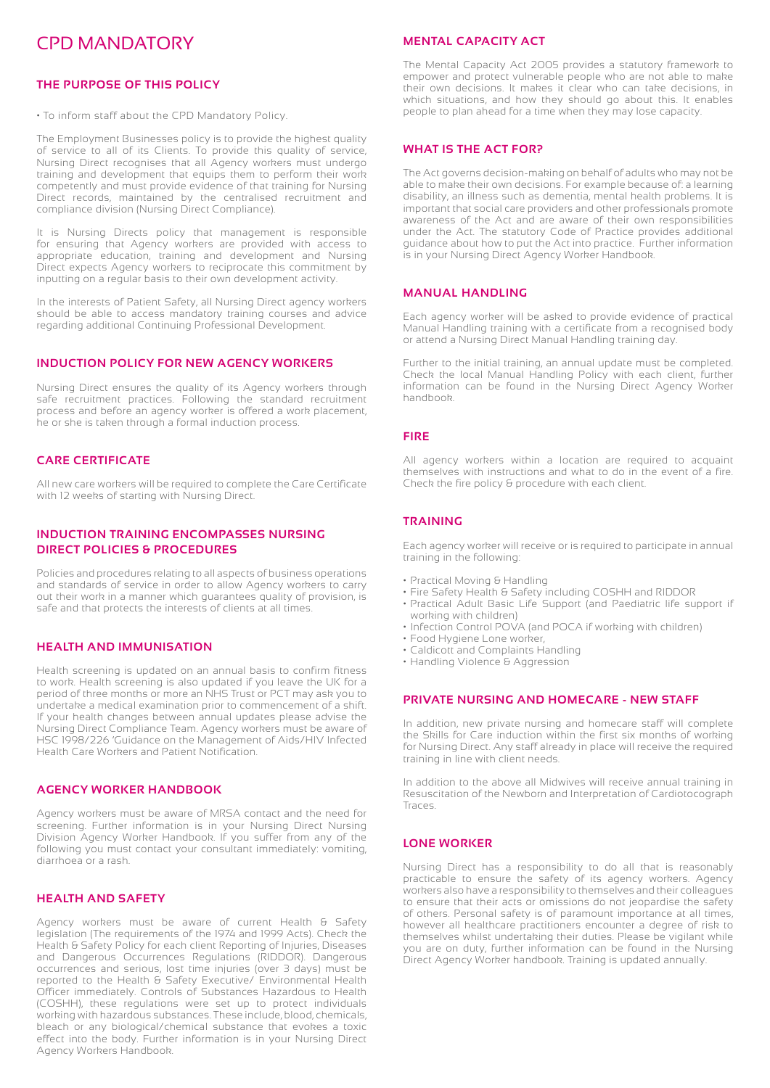### CPD MANDATORY

#### **THE PURPOSE OF THIS POLICY**

• To inform staff about the CPD Mandatory Policy.

The Employment Businesses policy is to provide the highest quality of service to all of its Clients. To provide this quality of service, Nursing Direct recognises that all Agency workers must undergo training and development that equips them to perform their work competently and must provide evidence of that training for Nursing Direct records, maintained by the centralised recruitment and compliance division (Nursing Direct Compliance).

It is Nursing Directs policy that management is responsible for ensuring that Agency workers are provided with access to appropriate education, training and development and Nursing Direct expects Agency workers to reciprocate this commitment by inputting on a regular basis to their own development activity.

In the interests of Patient Safety, all Nursing Direct agency workers should be able to access mandatory training courses and advice regarding additional Continuing Professional Development.

#### **INDUCTION POLICY FOR NEW AGENCY WORKERS**

Nursing Direct ensures the quality of its Agency workers through safe recruitment practices. Following the standard recruitment process and before an agency worker is offered a work placement, he or she is taken through a formal induction process.

#### **CARE CERTIFICATE**

All new care workers will be required to complete the Care Certificate with 12 weeks of starting with Nursing Direct.

#### **INDUCTION TRAINING ENCOMPASSES NURSING DIRECT POLICIES & PROCEDURES**

Policies and procedures relating to all aspects of business operations and standards of service in order to allow Agency workers to carry out their work in a manner which guarantees quality of provision, is safe and that protects the interests of clients at all times.

#### **HEALTH AND IMMUNISATION**

Health screening is updated on an annual basis to confirm fitness to work. Health screening is also updated if you leave the UK for a period of three months or more an NHS Trust or PCT may ask you to undertake a medical examination prior to commencement of a shift. If your health changes between annual updates please advise the Nursing Direct Compliance Team. Agency workers must be aware of HSC 1998/226 'Guidance on the Management of Aids/HIV Infected Health Care Workers and Patient Notification.

#### **AGENCY WORKER HANDBOOK**

Agency workers must be aware of MRSA contact and the need for screening. Further information is in your Nursing Direct Nursing Division Agency Worker Handbook. If you suffer from any of the following you must contact your consultant immediately: vomiting, diarrhoea or a rash.

#### **HEALTH AND SAFETY**

Agency workers must be aware of current Health & Safety legislation (The requirements of the 1974 and 1999 Acts). Check the Health & Safety Policy for each client Reporting of Injuries, Diseases and Dangerous Occurrences Regulations (RIDDOR). Dangerous occurrences and serious, lost time injuries (over 3 days) must be reported to the Health & Safety Executive/ Environmental Health Officer immediately. Controls of Substances Hazardous to Health (COSHH), these regulations were set up to protect individuals working with hazardous substances. These include, blood, chemicals, bleach or any biological/chemical substance that evokes a toxic effect into the body. Further information is in your Nursing Direct Agency Workers Handbook.

#### **MENTAL CAPACITY ACT**

The Mental Capacity Act 2005 provides a statutory framework to empower and protect vulnerable people who are not able to make their own decisions. It makes it clear who can take decisions, in which situations, and how they should go about this. It enables people to plan ahead for a time when they may lose capacity.

#### **WHAT IS THE ACT FOR?**

The Act governs decision-making on behalf of adults who may not be able to make their own decisions. For example because of: a learning disability, an illness such as dementia, mental health problems. It is important that social care providers and other professionals promote awareness of the Act and are aware of their own responsibilities under the Act. The statutory Code of Practice provides additional guidance about how to put the Act into practice. Further information is in your Nursing Direct Agency Worker Handbook.

#### **MANUAL HANDLING**

Each agency worker will be asked to provide evidence of practical Manual Handling training with a certificate from a recognised body or attend a Nursing Direct Manual Handling training day.

Further to the initial training, an annual update must be completed. Check the local Manual Handling Policy with each client, further information can be found in the Nursing Direct Agency Worker handbook.

#### **FIRE**

All agency workers within a location are required to acquaint themselves with instructions and what to do in the event of a fire. Check the fire policy & procedure with each client.

#### **TRAINING**

Each agency worker will receive or is required to participate in annual training in the following:

- Practical Moving & Handling
- Fire Safety Health & Safety including COSHH and RIDDOR
- Practical Adult Basic Life Support (and Paediatric life support if working with children)
- Infection Control POVA (and POCA if working with children)
- Food Hygiene Lone worker,
- Caldicott and Complaints Handling
- Handling Violence & Aggression

#### **PRIVATE NURSING AND HOMECARE - NEW STAFF**

In addition, new private nursing and homecare staff will complete the Skills for Care induction within the first six months of working for Nursing Direct. Any staff already in place will receive the required training in line with client needs.

In addition to the above all Midwives will receive annual training in Resuscitation of the Newborn and Interpretation of Cardiotocograph Traces.

#### **LONE WORKER**

Nursing Direct has a responsibility to do all that is reasonably practicable to ensure the safety of its agency workers. Agency workers also have a responsibility to themselves and their colleagues to ensure that their acts or omissions do not jeopardise the safety of others. Personal safety is of paramount importance at all times, however all healthcare practitioners encounter a degree of risk to themselves whilst undertaking their duties. Please be vigilant while you are on duty, further information can be found in the Nursing Direct Agency Worker handbook. Training is updated annually.